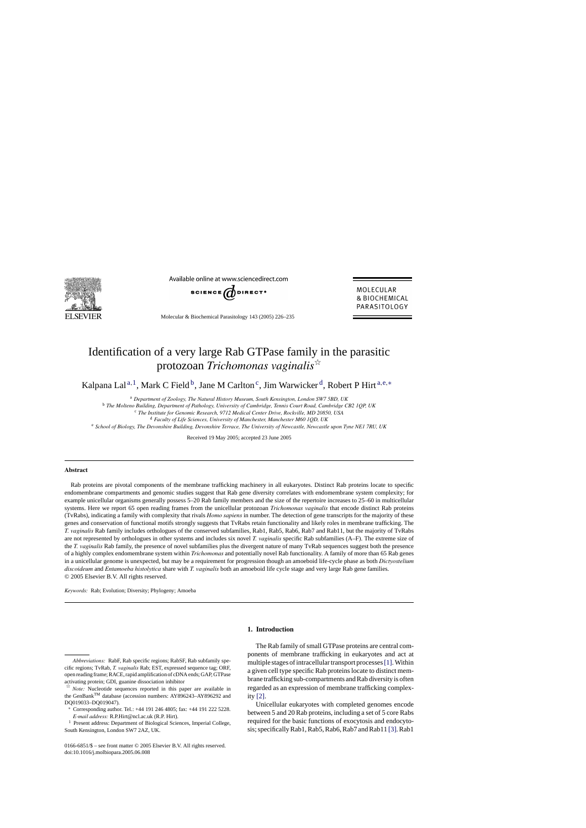

Available online at www.sciencedirect.com



Molecular & Biochemical Parasitology 143 (2005) 226–235

MOLECULAR & BIOCHEMICAL PARASITOLOGY

# Identification of a very large Rab GTPase family in the parasitic protozoan *Trichomonas vaginalis*

Kalpana Lal<sup>a, 1</sup>, Mark C Field<sup>b</sup>, Jane M Carlton<sup>c</sup>, Jim Warwicker<sup>d</sup>, Robert P Hirt<sup>a,e,\*</sup>

<sup>a</sup> *Department of Zoology, The Natural History Museum, South Kensington, London SW7 5BD, UK*

<sup>b</sup> *The Molteno Building, Department of Pathology, University of Cambridge, Tennis Court Road, Cambridge CB2 1QP, UK*

<sup>c</sup> *The Institute for Genomic Research, 9712 Medical Center Drive, Rockville, MD 20850, USA*

<sup>d</sup> *Faculty of Life Sciences, University of Manchester, Manchester M60 1QD, UK*

<sup>e</sup> *School of Biology, The Devonshire Building, Devonshire Terrace, The University of Newcastle, Newcastle upon Tyne NE1 7RU, UK*

Received 19 May 2005; accepted 23 June 2005

#### **Abstract**

Rab proteins are pivotal components of the membrane trafficking machinery in all eukaryotes. Distinct Rab proteins locate to specific endomembrane compartments and genomic studies suggest that Rab gene diversity correlates with endomembrane system complexity; for example unicellular organisms generally possess 5–20 Rab family members and the size of the repertoire increases to 25–60 in multicellular systems. Here we report 65 open reading frames from the unicellular protozoan *Trichomonas vaginalis* that encode distinct Rab proteins (TvRabs), indicating a family with complexity that rivals *Homo sapiens* in number. The detection of gene transcripts for the majority of these genes and conservation of functional motifs strongly suggests that TvRabs retain functionality and likely roles in membrane trafficking. The *T. vaginalis* Rab family includes orthologues of the conserved subfamilies, Rab1, Rab5, Rab6, Rab7 and Rab11, but the majority of TvRabs are not represented by orthologues in other systems and includes six novel *T. vaginalis* specific Rab subfamilies (A–F). The extreme size of the *T. vaginalis* Rab family, the presence of novel subfamilies plus the divergent nature of many TvRab sequences suggest both the presence of a highly complex endomembrane system within *Trichomonas* and potentially novel Rab functionality. A family of more than 65 Rab genes in a unicellular genome is unexpected, but may be a requirement for progression though an amoeboid life-cycle phase as both *Dictyostelium discoideum* and *Entamoeba histolytica* share with *T. vaginalis* both an amoeboid life cycle stage and very large Rab gene families. © 2005 Elsevier B.V. All rights reserved.

*Keywords:* Rab; Evolution; Diversity; Phylogeny; Amoeba

∗ Corresponding author. Tel.: +44 191 246 4805; fax: +44 191 222 5228. *E-mail address:* R.P.Hirt@ncl.ac.uk (R.P. Hirt).

<sup>1</sup> Present address: Department of Biological Sciences, Imperial College, South Kensington, London SW7 2AZ, UK.

## **1. Introduction**

The Rab family of small GTPase proteins are central components of membrane trafficking in eukaryotes and act at multiple stages of intracellular transport processes[\[1\]. W](#page-8-0)ithin a given cell type specific Rab proteins locate to distinct membrane trafficking sub-compartments and Rab diversity is often regarded as an expression of membrane trafficking complexity [\[2\].](#page-9-0)

Unicellular eukaryotes with completed genomes encode between 5 and 20 Rab proteins, including a set of 5 core Rabs required for the basic functions of exocytosis and endocytosis; specifically Rab1, Rab5, Rab6, Rab7 and Rab11 [\[3\]. R](#page-9-0)ab1

*Abbreviations:* RabF, Rab specific regions; RabSF, Rab subfamily specific regions; TvRab, *T. vaginalis* Rab; EST, expressed sequence tag; ORF, open reading frame; RACE, rapid amplification of cDNA ends; GAP, GTPase activating protein; GDI, guanine dissociation inhibitor

 $\sqrt[3]{x}$  *Note:* Nucleotide sequences reported in this paper are available in the GenBankTM database (accession numbers: AY896243–AY896292 and DQ019033–DQ019047).

<sup>0166-6851/\$ –</sup> see front matter © 2005 Elsevier B.V. All rights reserved. doi:10.1016/j.molbiopara.2005.06.008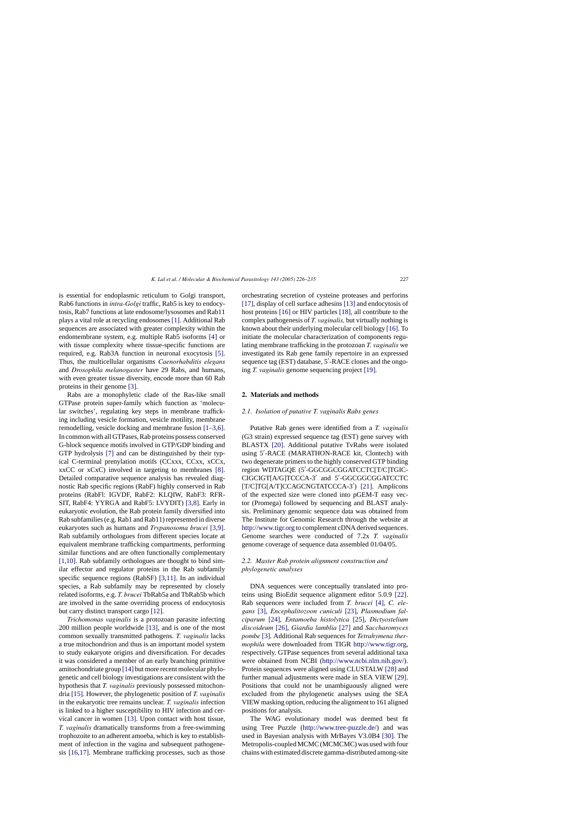<span id="page-1-0"></span>is essential for endoplasmic reticulum to Golgi transport, Rab6 functions in *intra-Golgi* traffic, Rab5 is key to endocytosis, Rab7 functions at late endosome/lysosomes and Rab11 plays a vital role at recycling endosomes [\[1\]. A](#page-8-0)dditional Rab sequences are associated with greater complexity within the endomembrane system, e.g. multiple Rab5 isoforms [\[4\]](#page-9-0) or with tissue complexity where tissue-specific functions are required, e.g. Rab3A function in neuronal exocytosis [\[5\].](#page-9-0) Thus, the multicellular organisms *Caenorhabditis elegans* and *Drosophila melanogaster* have 29 Rabs, and humans, with even greater tissue diversity, encode more than 60 Rab proteins in their genome [\[3\].](#page-9-0)

Rabs are a monophyletic clade of the Ras-like small GTPase protein super-family which function as 'molecular switches', regulating key steps in membrane trafficking including vesicle formation, vesicle motility, membrane remodelling, vesicle docking and membrane fusion [\[1–3,6\].](#page-8-0) In common with all GTPases, Rab proteins possess conserved G-block sequence motifs involved in GTP/GDP binding and GTP hydrolysis [\[7\]](#page-9-0) and can be distinguished by their typical C-terminal prenylation motifs (CCxxx, CCxx, xCCx, xxCC or xCxC) involved in targeting to membranes [\[8\].](#page-9-0) Detailed comparative sequence analysis has revealed diagnostic Rab specific regions (RabF) highly conserved in Rab proteins (RabFl: IGVDF, RabF2: KLQIW, RabF3: RFR-SIT, RabF4: YYRGA and RabF5: LVYDIT) [\[3,8\].](#page-9-0) Early in eukaryotic evolution, the Rab protein family diversified into Rab subfamilies (e.g. Rab1 and Rab11) represented in diverse eukaryotes such as humans and *Trypanosoma brucei* [\[3,9\].](#page-9-0) Rab subfamily orthologues from different species locate at equivalent membrane trafficking compartments, performing similar functions and are often functionally complementary [\[1,10\].](#page-8-0) Rab subfamily orthologues are thought to bind similar effector and regulator proteins in the Rab subfamily specific sequence regions (RabSF) [\[3,11\].](#page-9-0) In an individual species, a Rab subfamily may be represented by closely related isoforms, e.g. *T. brucei* TbRab5a and TbRab5b which are involved in the same overriding process of endocytosis but carry distinct transport cargo [\[12\].](#page-9-0)

*Trichomonas vaginalis* is a protozoan parasite infecting 200 million people worldwide [\[13\],](#page-9-0) and is one of the most common sexually transmitted pathogens. *T. vaginalis* lacks a true mitochondrion and thus is an important model system to study eukaryote origins and diversification. For decades it was considered a member of an early branching primitive amitochondriate group [\[14\]](#page-9-0) but more recent molecular phylogenetic and cell biology investigations are consistent with the hypothesis that *T. vaginalis* previously possessed mitochondria [\[15\]. H](#page-9-0)owever, the phylogenetic position of *T. vaginalis* in the eukaryotic tree remains unclear. *T. vaginalis* infection is linked to a higher susceptibility to HIV infection and cervical cancer in women [\[13\].](#page-9-0) Upon contact with host tissue, *T. vaginalis* dramatically transforms from a free-swimming trophozoite to an adherent amoeba, which is key to establishment of infection in the vagina and subsequent pathogenesis [\[16,17\].](#page-9-0) Membrane trafficking processes, such as those orchestrating secretion of cysteine proteases and perforins [\[17\], d](#page-9-0)isplay of cell surface adhesins [\[13\]](#page-9-0) and endocytosis of host proteins [\[16\]](#page-9-0) or HIV particles [\[18\],](#page-9-0) all contribute to the complex pathogenesis of *T. vaginalis,* but virtually nothing is known about their underlying molecular cell biology [\[16\]. T](#page-9-0)o initiate the molecular characterization of components regulating membrane trafficking in the protozoan *T. vaginalis* we investigated its Rab gene family repertoire in an expressed sequence tag (EST) database, 5'-RACE clones and the ongoing *T. vaginalis* genome sequencing project [\[19\].](#page-9-0)

#### **2. Materials and methods**

## *2.1. Isolation of putative T. vaginalis Rabs genes*

Putative Rab genes were identified from a *T. vaginalis* (G3 strain) expressed sequence tag (EST) gene survey with BLASTX [\[20\].](#page-9-0) Additional putative TvRabs were isolated using 5'-RACE (MARATHON-RACE kit, Clontech) with two degenerate primers to the highly conserved GTP binding region WDTAGQE (5'-GGCGGCGGATCCTC[T/C]TGIC-CIGCIGT[A/G]TCCCA-3' and 5'-GGCGGCGGATCCTC [T/C]TG[A/T]CCAGCNGTATCCCA-3') [\[21\].](#page-9-0) Amplicons of the expected size were cloned into pGEM-T easy vector (Promega) followed by sequencing and BLAST analysis. Preliminary genomic sequence data was obtained from The Institute for Genomic Research through the website at [http://www.tigr.org](http://www.tigr.org/) to complement cDNA derived sequences. Genome searches were conducted of 7.2x *T. vaginalis* genome coverage of sequence data assembled 01/04/05.

# *2.2. Master Rab protein alignment construction and phylogenetic analyses*

DNA sequences were conceptually translated into proteins using BioEdit sequence alignment editor 5.0.9 [\[22\].](#page-9-0) Rab sequences were included from *T. brucei* [\[4\],](#page-9-0) *C. elegans* [\[3\],](#page-9-0) *Encephalitozoon cuniculi* [\[23\],](#page-9-0) *Plasmodium falciparum* [\[24\],](#page-9-0) *Entamoeba histolytica* [\[25\],](#page-9-0) *Dictyostelium discoideum* [\[26\],](#page-9-0) *Giardia lamblia* [\[27\]](#page-9-0) and *Saccharomyces pombe* [\[3\].](#page-9-0) Additional Rab sequences for *Tetrahymena thermophila* were downloaded from TIGR [http://www.tigr.org](http://www.tigr.org/), respectively. GTPase sequences from several additional taxa were obtained from NCBI [\(http://www.ncbi.nlm.nih.gov/\)](http://www.ncbi.nlm.nih.gov/). Protein sequences were aligned using CLUSTALW [\[28\]](#page-9-0) and further manual adjustments were made in SEA VIEW [\[29\].](#page-9-0) Positions that could not be unambiguously aligned were excluded from the phylogenetic analyses using the SEA VIEW masking option, reducing the alignment to 161 aligned positions for analysis.

The WAG evolutionary model was deemed best fit using Tree Puzzle [\(http://www.tree-puzzle.de/](http://www.tree-puzzle.de/)) and was used in Bayesian analysis with MrBayes V3.0B4 [\[30\].](#page-9-0) The Metropolis-coupled MCMC (MCMCMC) was used with four chains with estimated discrete gamma-distributed among-site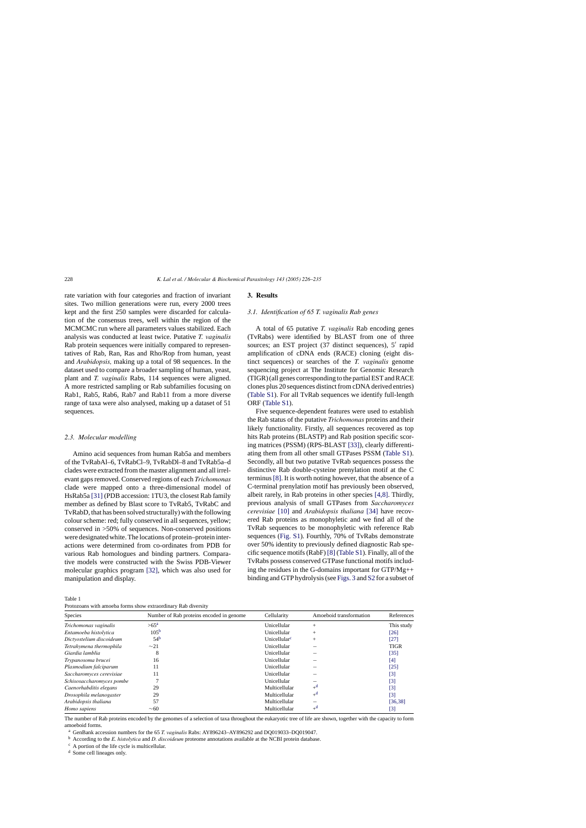<span id="page-2-0"></span>rate variation with four categories and fraction of invariant sites. Two million generations were run, every 2000 trees kept and the first 250 samples were discarded for calculation of the consensus trees, well within the region of the MCMCMC run where all parameters values stabilized. Each analysis was conducted at least twice. Putative *T. vaginalis* Rab protein sequences were initially compared to representatives of Rab, Ran, Ras and Rho/Rop from human, yeast and *Arabidopsis,* making up a total of 98 sequences. In the dataset used to compare a broader sampling of human, yeast, plant and *T. vaginalis* Rabs, 114 sequences were aligned. A more restricted sampling or Rab subfamilies focusing on Rab1, Rab5, Rab6, Rab7 and Rab11 from a more diverse range of taxa were also analysed, making up a dataset of 51 sequences.

#### *2.3. Molecular modelling*

Amino acid sequences from human Rab5a and members of the TvRabAl–6, TvRabCl–9, TvRabDl–8 and TvRab5a–d clades were extracted from the master alignment and all irrelevant gaps removed. Conserved regions of each *Trichomonas* clade were mapped onto a three-dimensional model of HsRab5a [\[31\]](#page-9-0) (PDB accession: 1TU3, the closest Rab family member as defined by Blast score to TvRab5, TvRabC and TvRabD, that has been solved structurally) with the following colour scheme: red; fully conserved in all sequences, yellow; conserved in >50% of sequences. Non-conserved positions were designated white. The locations of protein–protein interactions were determined from co-ordinates from PDB for various Rab homologues and binding partners. Comparative models were constructed with the Swiss PDB-Viewer molecular graphics program [\[32\],](#page-9-0) which was also used for manipulation and display.

Table 1

Protozoans with amoeba forms show extraordinary Rab diversity

### **3. Results**

## *3.1. Identification of 65 T. vaginalis Rab genes*

A total of 65 putative *T. vaginalis* Rab encoding genes (TvRabs) were identified by BLAST from one of three sources; an EST project (37 distinct sequences), 5' rapid amplification of cDNA ends (RACE) cloning (eight distinct sequences) or searches of the *T. vaginalis* genome sequencing project at The Institute for Genomic Research (TIGR) (all genes corresponding to the partial EST and RACE clones plus 20 sequences distinct from cDNA derived entries) [\(Table S1\).](#page-8-0) For all TvRab sequences we identify full-length ORF ([Table S1\).](#page-8-0)

Five sequence-dependent features were used to establish the Rab status of the putative *Trichomonas* proteins and their likely functionality. Firstly, all sequences recovered as top hits Rab proteins (BLASTP) and Rab position specific scoring matrices (PSSM) (RPS-BLAST [\[33\]\),](#page-9-0) clearly differentiating them from all other small GTPases PSSM ([Table S1\).](#page-8-0) Secondly, all but two putative TvRab sequences possess the distinctive Rab double-cysteine prenylation motif at the C terminus [\[8\]. I](#page-9-0)t is worth noting however, that the absence of a C-terminal prenylation motif has previously been observed, albeit rarely, in Rab proteins in other species [\[4,8\].](#page-9-0) Thirdly, previous analysis of small GTPases from *Saccharomyces cerevisiae* [\[10\]](#page-9-0) and *Arabidopsis thaliana* [\[34\]](#page-9-0) have recovered Rab proteins as monophyletic and we find all of the TvRab sequences to be monophyletic with reference Rab sequences [\(Fig. S1\).](#page-8-0) Fourthly, 70% of TvRabs demonstrate over 50% identity to previously defined diagnostic Rab specific sequence motifs (RabF) [\[8\]](#page-9-0) [\(Table S1\).](#page-8-0) Finally, all of the TvRabs possess conserved GTPase functional motifs including the residues in the G-domains important for GTP/Mg++ binding and GTP hydrolysis (see [Figs. 3](#page-6-0) and [S2](#page-8-0) for a subset of

| <b>Species</b>            | Number of Rab proteins encoded in genome | Cellularity              | Amoeboid transformation | References  |
|---------------------------|------------------------------------------|--------------------------|-------------------------|-------------|
| Trichomonas vaginalis     | $>65^{\mathrm{a}}$                       | Unicellular              | $^{+}$                  | This study  |
| Entamoeba histolytica     | 105 <sup>b</sup>                         | Unicellular              | $+$                     | [26]        |
| Dictyostelium discoideum  | 54 <sup>b</sup>                          | Unicellular <sup>c</sup> | $+$                     | [27]        |
| Tetrahymena thermophila   | $\sim$ 21                                | Unicellular              |                         | <b>TIGR</b> |
| Giardia lamblia           | 8                                        | Unicellular              |                         | [35]        |
| Trypanosoma brucei        | 16                                       | Unicellular              |                         | [4]         |
| Plasmodium falciparum     | 11                                       | Unicellular              |                         | [25]        |
| Saccharomyces cerevisiae  | 11                                       | Unicellular              |                         | $[3]$       |
| Schisosaccharomyces pombe |                                          | Unicellular              |                         | $[3]$       |
| Caenorhabditis elegans    | 29                                       | Multicellular            | $+^d$                   | $[3]$       |
| Drosophila melanogaster   | 29                                       | Multicellular            | $+^d$                   | $[3]$       |
| Arabidopsis thaliana      | 57                                       | Multicellular            |                         | [36, 38]    |
| Homo sapiens              | $\sim 60$                                | Multicellular            | $+^a$                   | [3]         |

The number of Rab proteins encoded by the genomes of a selection of taxa throughout the eukaryotic tree of life are shown, together with the capacity to form amoeboid forms.

<sup>a</sup> GenBank accession numbers for the 65 *T. vaginalis* Rabs: AY896243–AY896292 and DQ019033–DQ019047.

<sup>b</sup> According to the *E. histolytica* and *D. discoideum* proteome annotations available at the NCBI protein database.

<sup>c</sup> A portion of the life cycle is multicellular.

<sup>d</sup> Some cell lineages only.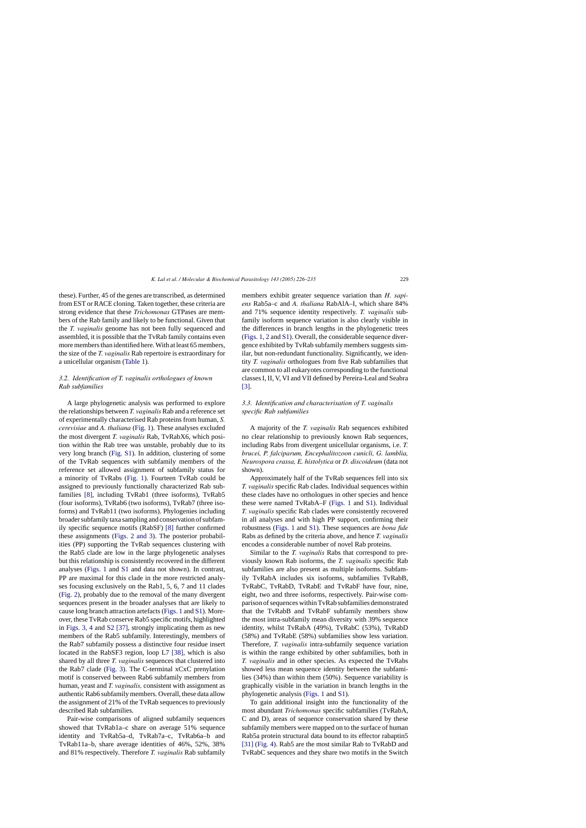these). Further, 45 of the genes are transcribed, as determined from EST or RACE cloning. Taken together, these criteria are strong evidence that these *Trichomonas* GTPases are members of the Rab family and likely to be functional. Given that the *T. vaginalis* genome has not been fully sequenced and assembled, it is possible that the TvRab family contains even more members than identified here. With at least 65 members, the size of the *T. vaginalis* Rab repertoire is extraordinary for a unicellular organism [\(Table 1\).](#page-2-0)

# *3.2. Identification of T. vaginalis orthologues of known Rab subfamilies*

A large phylogenetic analysis was performed to explore the relationships between *T. vaginalis* Rab and a reference set of experimentally characterised Rab proteins from human, *S. cerevisiae* and *A. thaliana* ([Fig. 1\).](#page-4-0) These analyses excluded the most divergent *T. vaginalis* Rab, TvRabX6, which position within the Rab tree was unstable, probably due to its very long branch [\(Fig. S1\).](#page-8-0) In addition, clustering of some of the TvRab sequences with subfamily members of the reference set allowed assignment of subfamily status for a minority of TvRabs ([Fig. 1\).](#page-4-0) Fourteen TvRab could be assigned to previously functionally characterized Rab subfamilies [\[8\],](#page-9-0) including TvRab1 (three isoforms), TvRab5 (four isoforms), TvRab6 (two isoforms), TvRab7 (three isoforms) and TvRab11 (two isoforms). Phylogenies including broader subfamily taxa sampling and conservation of subfamily specific sequence motifs (RabSF) [\[8\]](#page-9-0) further confirmed these assignments [\(Figs. 2 and 3\)](#page-5-0). The posterior probabilities (PP) supporting the TvRab sequences clustering with the Rab5 clade are low in the large phylogenetic analyses but this relationship is consistently recovered in the different analyses [\(Figs. 1](#page-4-0) and [S1](#page-8-0) and data not shown). In contrast, PP are maximal for this clade in the more restricted analyses focusing exclusively on the Rab1, 5, 6, 7 and 11 clades ([Fig. 2\),](#page-5-0) probably due to the removal of the many divergent sequences present in the broader analyses that are likely to cause long branch attraction artefacts ([Figs. 1](#page-4-0) and [S1\).](#page-8-0) Moreover, these TvRab conserve Rab5 specific motifs, highlighted in [Figs. 3, 4](#page-6-0) and [S2](#page-8-0) [\[37\],](#page-9-0) strongly implicating them as new members of the Rab5 subfamily. Interestingly, members of the Rab7 subfamily possess a distinctive four residue insert located in the RabSF3 region, loop L7 [\[38\],](#page-9-0) which is also shared by all three *T. vaginalis* sequences that clustered into the Rab7 clade ([Fig. 3\).](#page-6-0) The C-terminal xCxC prenylation motif is conserved between Rab6 subfamily members from human, yeast and *T. vaginalis,* consistent with assignment as authentic Rab6 subfamily members. Overall, these data allow the assignment of 21% of the TvRab sequences to previously described Rab subfamilies.

Pair-wise comparisons of aligned subfamily sequences showed that TvRab1a–c share on average 51% sequence identity and TvRab5a–d, TvRab7a–c, TvRab6a–b and TvRab11a–b, share average identities of 46%, 52%, 38% and 81% respectively. Therefore *T. vaginalis* Rab subfamily members exhibit greater sequence variation than *H. sapiens* Rab5a–c and *A. thaliana* RabAlA–I, which share 84% and 71% sequence identity respectively. *T. vaginalis* subfamily isoform sequence variation is also clearly visible in the differences in branch lengths in the phylogenetic trees ([Figs. 1, 2](#page-4-0) and [S1\).](#page-8-0) Overall, the considerable sequence divergence exhibited by TvRab subfamily members suggests similar, but non-redundant functionality. Significantly, we identity *T. vaginalis* orthologues from five Rab subfamilies that are common to all eukaryotes corresponding to the functional classes I, II, V, VI and VII defined by Pereira-Leal and Seabra [\[3\].](#page-9-0)

## *3.3. Identification and characterisation of T. vaginalis specific Rab subfamilies*

A majority of the *T. vaginalis* Rab sequences exhibited no clear relationship to previously known Rab sequences, including Rabs from divergent unicellular organisms, i.e. *T. brucei, P. falciparum, Encephalitozoon cunicli, G. lamblia, Neurospora crassa, E. histolytica* or *D. discoideum* (data not shown).

Approximately half of the TvRab sequences fell into six *T. vaginalis* specific Rab clades. Individual sequences within these clades have no orthologues in other species and hence these were named TvRabA–F [\(Figs. 1](#page-4-0) and [S1\).](#page-8-0) Individual *T. vaginalis* specific Rab clades were consistently recovered in all analyses and with high PP support, confirming their robustness ([Figs. 1](#page-4-0) and [S1\).](#page-8-0) These sequences are *bona fide* Rabs as defined by the criteria above, and hence *T. vaginalis* encodes a considerable number of novel Rab proteins.

Similar to the *T. vaginalis* Rabs that correspond to previously known Rab isoforms, the *T. vaginalis* specific Rab subfamilies are also present as multiple isoforms. Subfamily TvRabA includes six isoforms, subfamilies TvRabB, TvRabC, TvRabD, TvRabE and TvRabF have four, nine, eight, two and three isoforms, respectively. Pair-wise comparison of sequences within TvRab subfamilies demonstrated that the TvRabB and TvRabF subfamily members show the most intra-subfamily mean diversity with 39% sequence identity, whilst TvRabA (49%), TvRabC (53%), TvRabD (58%) and TvRabE (58%) subfamilies show less variation. Therefore, *T. vaginalis* intra-subfamily sequence variation is within the range exhibited by other subfamilies, both in *T. vaginalis* and in other species. As expected the TvRabs showed less mean sequence identity between the subfamilies (34%) than within them (50%). Sequence variability is graphically visible in the variation in branch lengths in the phylogenetic analysis [\(Figs. 1](#page-4-0) and [S1\).](#page-8-0)

To gain additional insight into the functionality of the most abundant *Trichomonas* specific subfamilies (TvRabA, C and D), areas of sequence conservation shared by these subfamily members were mapped on to the surface of human Rab5a protein structural data bound to its effector rabaptin5 [\[31\]](#page-9-0) [\(Fig. 4\).](#page-7-0) Rab5 are the most similar Rab to TvRabD and TvRabC sequences and they share two motifs in the Switch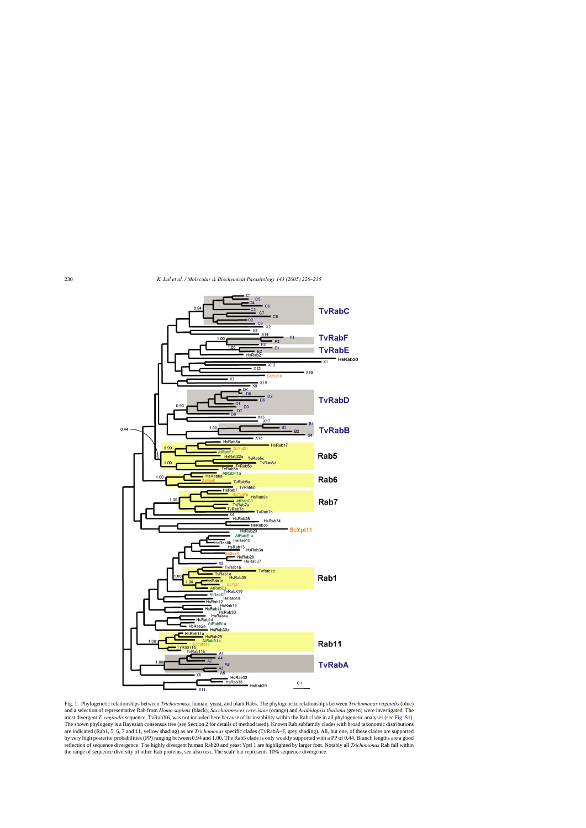<span id="page-4-0"></span>

Fig. 1. Phylogenetic relationships between *Trichomonas,* human, yeast, and plant Rabs. The phylogenetic relationships between *Trichomonas vaginalis* (blue) and a selection of representative Rab from *Homo sapiens* (black), *Saccharomyces cerevisiae* (orange) and *Arabidopsis thaliana* (green) were investigated. The most divergent *T. vaginalis* sequence, TvRabX6, was not included here because of its instability within the Rab clade in all phylogenetic analyses (see [Fig. S1\).](#page-8-0) The shown phylogeny is a Bayesian consensus tree (see Section [2](#page-1-0) for details of method used). Known Rab subfamily clades with broad taxonomic distributions are indicated (Rab1, 5, 6, 7 and 11, yellow shading) as are *Trichomonas* specific clades (TvRabA–F, grey shading). All, but one, of these clades are supported by very high posterior probabilities (PP) ranging between 0.94 and 1.00. The Rab5 clade is only weakly supported with a PP of 0.44. Branch lengths are a good reflection of sequence divergence. The highly divergent human Rab20 and yeast Yptl 1 are highlighted by larger font. Notably all *Trichomonas* Rab fall within the range of sequence diversity of other Rab proteins, see also text. The scale bar represents 10% sequence divergence.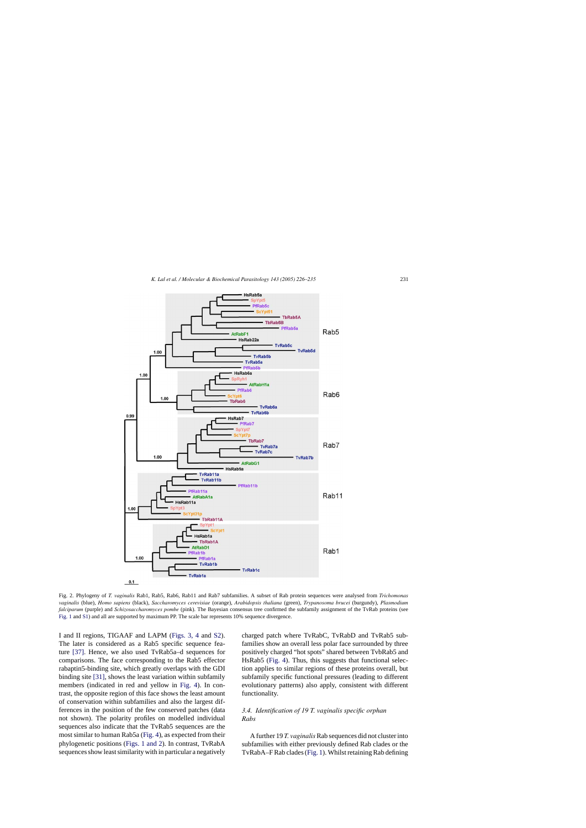<span id="page-5-0"></span>

Fig. 2. Phylogeny of *T. vaginalis* Rab1, Rab5, Rab6, Rab11 and Rab7 subfamilies. A subset of Rab protein sequences were analysed from *Trichomonas vaginalis* (blue), *Homo sapiens* (black), *Saccharomyces cerevisiae* (orange), *Arabidopsis thaliana* (green), *Trypanosoma brucei* (burgundy), *Plasmodium falciparum* (purple) and *Schizosaccharomyces pombe* (pink). The Bayesian consensus tree confirmed the subfamily assignment of the TvRab proteins (see [Fig. 1](#page-4-0) and [S1\) a](#page-8-0)nd all are supported by maximum PP. The scale bar represents 10% sequence divergence.

I and II regions, TIGAAF and LAPM ([Figs. 3, 4](#page-6-0) and [S2\).](#page-8-0) The later is considered as a Rab5 specific sequence feature [\[37\].](#page-9-0) Hence, we also used TvRab5a–d sequences for comparisons. The face corresponding to the Rab5 effector rabaptin5-binding site, which greatly overlaps with the GDI binding site [\[31\], s](#page-9-0)hows the least variation within subfamily members (indicated in red and yellow in [Fig. 4\)](#page-7-0). In contrast, the opposite region of this face shows the least amount of conservation within subfamilies and also the largest differences in the position of the few conserved patches (data not shown). The polarity profiles on modelled individual sequences also indicate that the TvRab5 sequences are the most similar to human Rab5a ([Fig. 4\),](#page-7-0) as expected from their phylogenetic positions ([Figs. 1 and 2\).](#page-4-0) In contrast, TvRabA sequences show least similarity with in particular a negatively

charged patch where TvRabC, TvRabD and TvRab5 subfamilies show an overall less polar face surrounded by three positively charged "hot spots" shared between TvbRab5 and HsRab5 ([Fig. 4\).](#page-7-0) Thus, this suggests that functional selection applies to similar regions of these proteins overall, but subfamily specific functional pressures (leading to different evolutionary patterns) also apply, consistent with different functionality.

# *3.4. Identification of 19 T. vaginalis specific orphan Rabs*

A further 19 *T. vaginalis*Rab sequences did not cluster into subfamilies with either previously defined Rab clades or the TvRabA–F Rab clades ([Fig. 1\).](#page-4-0) Whilst retaining Rab defining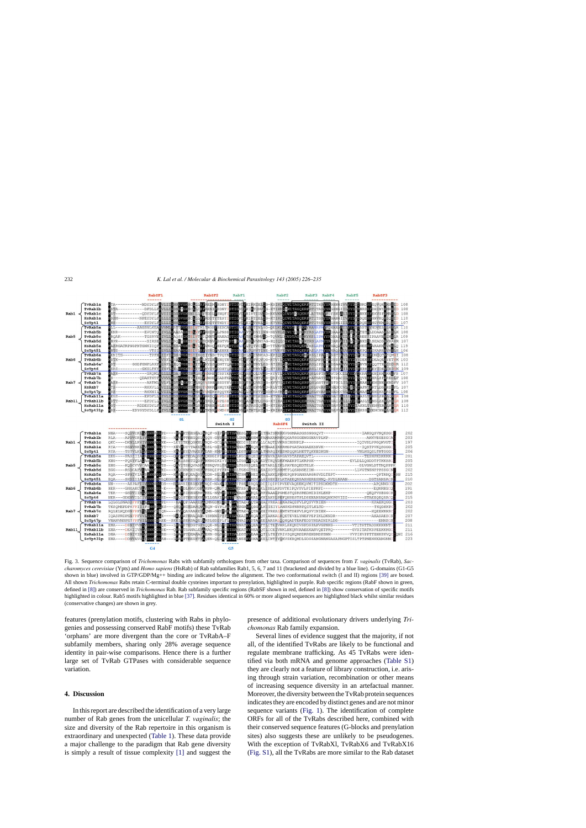<span id="page-6-0"></span>

Fig. 3. Sequence comparison of *Trichomonas* Rabs with subfamily orthologues from other taxa. Comparison of sequences from *T. vaginalis* (TvRab), *Saccharomyces cerevisiae* (Ypts) and *Homo sapiens* (HsRab) of Rab subfamilies Rab1, 5, 6, 7 and 11 (bracketed and divided by a blue line). G-domains (G1-G5 shown in blue) involved in GTP/GDP/Mg++ binding are indicated below the alignment. The two conformational switch (I and II) regions [\[39\]](#page-9-0) are boxed. All shown *Trichomonas* Rabs retain C-terminal double cysteines important to prenylation, highlighted in purple. Rab specific regions (RabF shown in green, defined in [\[8\]\) a](#page-9-0)re conserved in *Trichomonas* Rab. Rab subfamily specific regions (RabSF shown in red, defined in [\[8\]\) s](#page-9-0)how conservation of specific motifs highlighted in colour. Rab5 motifs highlighted in blue [\[37\]. R](#page-9-0)esidues identical in 60% or more aligned sequences are highlighted black whilst similar residues (conservative changes) are shown in grey.

features (prenylation motifs, clustering with Rabs in phylogenies and possessing conserved RabF motifs) these TvRab 'orphans' are more divergent than the core or TvRabA–F subfamily members, sharing only 28% average sequence identity in pair-wise comparisons. Hence there is a further large set of TvRab GTPases with considerable sequence variation.

## **4. Discussion**

In this report are described the identification of a very large number of Rab genes from the unicellular *T. vaginalis*; the size and diversity of the Rab repertoire in this organism is extraordinary and unexpected [\(Table 1\).](#page-2-0) These data provide a major challenge to the paradigm that Rab gene diversity is simply a result of tissue complexity [\[1\]](#page-8-0) and suggest the presence of additional evolutionary drivers underlying *Trichomonas* Rab family expansion.

Several lines of evidence suggest that the majority, if not all, of the identified TvRabs are likely to be functional and regulate membrane trafficking. As 45 TvRabs were identified via both mRNA and genome approaches [\(Table S1\)](#page-8-0) they are clearly not a feature of library construction, i.e. arising through strain variation, recombination or other means of increasing sequence diversity in an artefactual manner. Moreover, the diversity between the TvRab protein sequences indicates they are encoded by distinct genes and are not minor sequence variants [\(Fig. 1\)](#page-4-0). The identification of complete ORFs for all of the TvRabs described here, combined with their conserved sequence features (G-blocks and prenylation sites) also suggests these are unlikely to be pseudogenes. With the exception of TvRabXl, TvRabX6 and TvRabX16 [\(Fig. S1\),](#page-8-0) all the TvRabs are more similar to the Rab dataset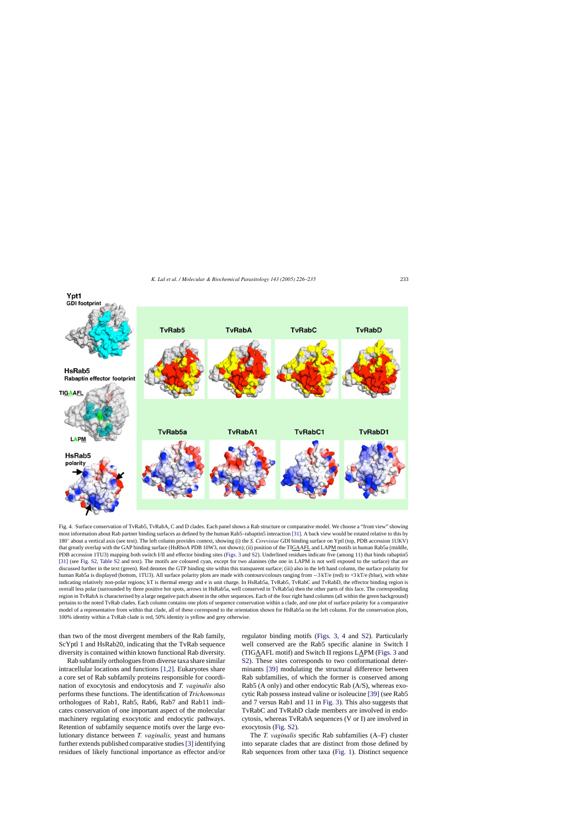<span id="page-7-0"></span>

Fig. 4. Surface conservation of TvRab5, TvRabA, C and D clades. Each panel shows a Rab structure or comparative model. We choose a "front view" showing most information about Rab partner binding surfaces as defined by the human Rab5–rabaptin5 interaction [\[31\]. A](#page-9-0) back view would be rotated relative to this by 180◦ about a vertical axis (see text). The left column provides context, showing (i) the *S. Cerevisiae* GDI binding surface on Yptl (top, PDB accession 1UKV) that greatly overlap with the GAP binding surface (HsRhoA PDB 10W3, not shown); (ii) position of the TIGAAFL and LAPM motifs in human Rab5a (middle, PDB accession 1TU3) mapping both switch I/II and effector binding sites ([Figs. 3](#page-6-0) and [S2\).](#page-8-0) Underlined residues indicate five (among 11) that binds rabaptin5 [\[31\]](#page-9-0) (see [Fig. S2,](#page-8-0) [Table S2](#page-8-0) and text). The motifs are coloured cyan, except for two alanines (the one in LAPM is not well exposed to the surface) that are discussed further in the text (green). Red denotes the GTP binding site within this transparent surface; (iii) also in the left hand column, the surface polarity for human Rab5a is displayed (bottom, 1TU3). All surface polarity plots are made with contours/colours ranging from −3 kT/e (red) to +3 kT/e (blue), with white indicating relatively non-polar regions; kT is thermal energy and e is unit charge. In HsRab5a, TvRab5, TvRabC and TvRabD, the effector binding region is overall less polar (surrounded by three positive hot spots, arrows in HsRab5a, well conserved in TvRab5a) then the other parts of this face. The corresponding region in TvRabA is characterised by a large negative patch absent in the other sequences. Each of the four right hand columns (all within the green background) pertains to the noted TvRab clades. Each column contains one plots of sequence conservation within a clade, and one plot of surface polarity for a comparative model of a representative from within that clade, all of these correspond to the orientation shown for HsRab5a on the left column. For the conservation plots, 100% identity within a TvRab clade is red, 50% identity is yellow and grey otherwise.

than two of the most divergent members of the Rab family, ScYptl 1 and HsRab20, indicating that the TvRab sequence diversity is contained within known functional Rab diversity.

Rab subfamily orthologues from diverse taxa share similar intracellular locations and functions [\[1,2\].](#page-8-0) Eukaryotes share a core set of Rab subfamily proteins responsible for coordination of exocytosis and endocytosis and *T. vaginalis* also performs these functions. The identification of *Trichomonas* orthologues of Rab1, Rab5, Rab6, Rab7 and Rab11 indicates conservation of one important aspect of the molecular machinery regulating exocytotic and endocytic pathways. Retention of subfamily sequence motifs over the large evolutionary distance between *T. vaginalis,* yeast and humans further extends published comparative studies[\[3\]](#page-9-0) identifying residues of likely functional importance as effector and/or regulator binding motifs ([Figs. 3, 4](#page-6-0) and [S2\).](#page-8-0) Particularly well conserved are the Rab5 specific alanine in Switch I (TIGAAFL motif) and Switch II regions LAPM [\(Figs. 3](#page-6-0) and [S2\).](#page-8-0) These sites corresponds to two conformational determinants [\[39\]](#page-9-0) modulating the structural difference between Rab subfamilies, of which the former is conserved among Rab5 (A only) and other endocytic Rab (A/S), whereas exocytic Rab possess instead valine or isoleucine [\[39\]](#page-9-0) (see Rab5 and 7 versus Rab1 and 11 in [Fig. 3\).](#page-6-0) This also suggests that TvRabC and TvRabD clade members are involved in endocytosis, whereas TvRabA sequences (V or I) are involved in exocytosis [\(Fig. S2\).](#page-8-0)

The *T. vaginalis* specific Rab subfamilies (A–F) cluster into separate clades that are distinct from those defined by Rab sequences from other taxa ([Fig. 1\).](#page-4-0) Distinct sequence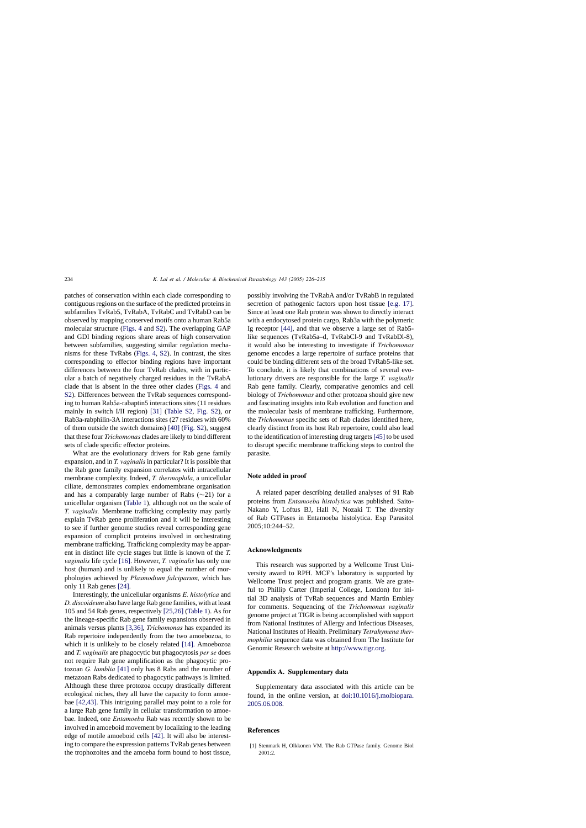<span id="page-8-0"></span>patches of conservation within each clade corresponding to contiguous regions on the surface of the predicted proteins in subfamilies TvRab5, TvRabA, TvRabC and TvRabD can be observed by mapping conserved motifs onto a human Rab5a molecular structure ([Figs. 4](#page-7-0) and S2). The overlapping GAP and GDI binding regions share areas of high conservation between subfamilies, suggesting similar regulation mechanisms for these TvRabs ([Figs. 4,](#page-7-0) S2). In contrast, the sites corresponding to effector binding regions have important differences between the four TvRab clades, with in particular a batch of negatively charged residues in the TvRabA clade that is absent in the three other clades ([Figs. 4](#page-7-0) and S2). Differences between the TvRab sequences corresponding to human Rab5a-rabaptin5 interactions sites (11 residues mainly in switch I/II region) [\[31\]](#page-9-0) (Table S2, Fig. S2), or Rab3a-rabphilin-3A interactions sites (27 residues with 60% of them outside the switch domains) [\[40\]](#page-9-0) (Fig. S2), suggest that these four *Trichomonas* clades are likely to bind different sets of clade specific effector proteins.

What are the evolutionary drivers for Rab gene family expansion, and in *T. vaginalis* in particular? It is possible that the Rab gene family expansion correlates with intracellular membrane complexity. Indeed, *T. thermophila,* a unicellular ciliate, demonstrates complex endomembrane organisation and has a comparably large number of Rabs (∼21) for a unicellular organism [\(Table 1\),](#page-2-0) although not on the scale of *T. vaginalis.* Membrane trafficking complexity may partly explain TvRab gene proliferation and it will be interesting to see if further genome studies reveal corresponding gene expansion of complicit proteins involved in orchestrating membrane trafficking. Trafficking complexity may be apparent in distinct life cycle stages but little is known of the *T. vaginalis* life cycle [\[16\].](#page-9-0) However, *T. vaginalis* has only one host (human) and is unlikely to equal the number of morphologies achieved by *Plasmodium falciparum,* which has only 11 Rab genes [\[24\].](#page-9-0)

Interestingly, the unicellular organisms *E. histolytica* and *D. discoideum* also have large Rab gene families, with at least 105 and 54 Rab genes, respectively [\[25,26\]](#page-9-0) ([Table 1\).](#page-2-0) As for the lineage-specific Rab gene family expansions observed in animals versus plants [\[3,36\],](#page-9-0) *Trichomonas* has expanded its Rab repertoire independently from the two amoebozoa, to which it is unlikely to be closely related [\[14\].](#page-9-0) Amoebozoa and *T. vaginalis* are phagocytic but phagocytosis *per se* does not require Rab gene amplification as the phagocytic protozoan *G. lamblia* [\[41\]](#page-9-0) only has 8 Rabs and the number of metazoan Rabs dedicated to phagocytic pathways is limited. Although these three protozoa occupy drastically different ecological niches, they all have the capacity to form amoebae [\[42,43\].](#page-9-0) This intriguing parallel may point to a role for a large Rab gene family in cellular transformation to amoebae. Indeed, one *Entamoeba* Rab was recently shown to be involved in amoeboid movement by localizing to the leading edge of motile amoeboid cells [\[42\].](#page-9-0) It will also be interesting to compare the expression patterns TvRab genes between the trophozoites and the amoeba form bound to host tissue,

possibly involving the TvRabA and/or TvRabB in regulated secretion of pathogenic factors upon host tissue [\[e.g. 17\].](#page-9-0) Since at least one Rab protein was shown to directly interact with a endocytosed protein cargo, Rab3a with the polymeric Ig receptor [\[44\],](#page-9-0) and that we observe a large set of Rab5 like sequences (TvRab5a–d, TvRabCl-9 and TvRabDl-8), it would also be interesting to investigate if *Trichomonas* genome encodes a large repertoire of surface proteins that could be binding different sets of the broad TvRab5-like set. To conclude, it is likely that combinations of several evolutionary drivers are responsible for the large *T. vaginalis* Rab gene family. Clearly, comparative genomics and cell biology of *Trichomonas* and other protozoa should give new and fascinating insights into Rab evolution and function and the molecular basis of membrane trafficking. Furthermore, the *Trichomonas* specific sets of Rab clades identified here, clearly distinct from its host Rab repertoire, could also lead to the identification of interesting drug targets [\[45\]](#page-9-0) to be used to disrupt specific membrane trafficking steps to control the parasite.

## **Note added in proof**

A related paper describing detailed analyses of 91 Rab proteins from *Entamoeba histolytica* was published. Saito-Nakano Y, Loftus BJ, Hall N, Nozaki T. The diversity of Rab GTPases in Entamoeba histolytica. Exp Parasitol 2005;10:244–52.

## **Acknowledgments**

This research was supported by a Wellcome Trust University award to RPH. MCF's laboratory is supported by Wellcome Trust project and program grants. We are grateful to Phillip Carter (Imperial College, London) for initial 3D analysis of TvRab sequences and Martin Embley for comments. Sequencing of the *Trichomonas vaginalis* genome project at TIGR is being accomplished with support from National Institutes of Allergy and Infectious Diseases, National Institutes of Health. Preliminary *Tetrahymena thermophilia* sequence data was obtained from The Institute for Genomic Research website at [http://www.tigr.org.](http://www.tigr.org/)

## **Appendix A. Supplementary data**

Supplementary data associated with this article can be found, in the online version, at [doi:10.1016/j.molbiopara.](http://dx.doi.org/10.1016/j.molbiopara.2005.06.008) [2005.06.008.](http://dx.doi.org/10.1016/j.molbiopara.2005.06.008)

## **References**

[1] Stenmark H, Olkkonen VM. The Rab GTPase family. Genome Biol  $2001.2$